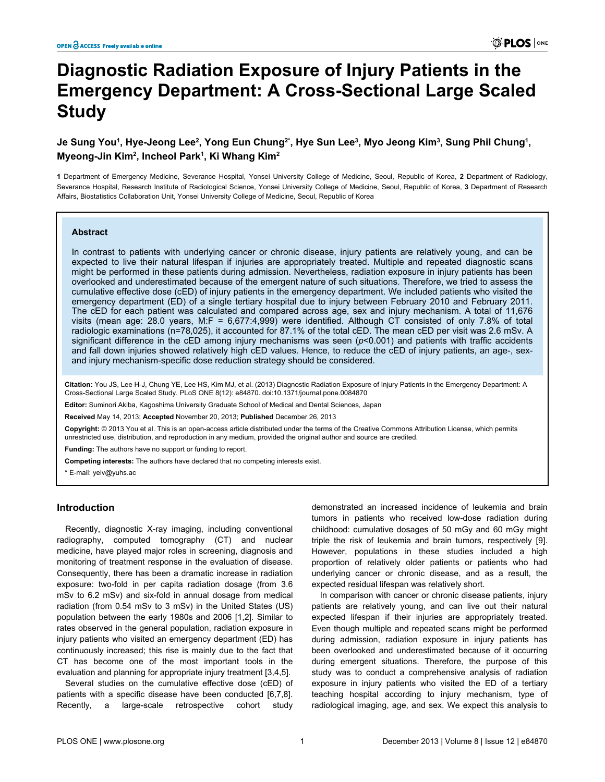# **Diagnostic Radiation Exposure of Injury Patients in the Emergency Department: A Cross-Sectional Large Scaled Study**

## **Je Sung You<sup>1</sup> , Hye-Jeong Lee<sup>2</sup> , Yong Eun Chung2\*, Hye Sun Lee<sup>3</sup> , Myo Jeong Kim<sup>3</sup> , Sung Phil Chung<sup>1</sup> , Myeong-Jin Kim<sup>2</sup> , Incheol Park<sup>1</sup> , Ki Whang Kim<sup>2</sup>**

**1** Department of Emergency Medicine, Severance Hospital, Yonsei University College of Medicine, Seoul, Republic of Korea, **2** Department of Radiology, Severance Hospital, Research Institute of Radiological Science, Yonsei University College of Medicine, Seoul, Republic of Korea, **3** Department of Research Affairs, Biostatistics Collaboration Unit, Yonsei University College of Medicine, Seoul, Republic of Korea

## **Abstract**

In contrast to patients with underlying cancer or chronic disease, injury patients are relatively young, and can be expected to live their natural lifespan if injuries are appropriately treated. Multiple and repeated diagnostic scans might be performed in these patients during admission. Nevertheless, radiation exposure in injury patients has been overlooked and underestimated because of the emergent nature of such situations. Therefore, we tried to assess the cumulative effective dose (cED) of injury patients in the emergency department. We included patients who visited the emergency department (ED) of a single tertiary hospital due to injury between February 2010 and February 2011. The cED for each patient was calculated and compared across age, sex and injury mechanism. A total of 11,676 visits (mean age: 28.0 years, M:F = 6,677:4,999) were identified. Although CT consisted of only 7.8% of total radiologic examinations (n=78,025), it accounted for 87.1% of the total cED. The mean cED per visit was 2.6 mSv. A significant difference in the cED among injury mechanisms was seen ( $p$ <0.001) and patients with traffic accidents and fall down injuries showed relatively high cED values. Hence, to reduce the cED of injury patients, an age-, sexand injury mechanism-specific dose reduction strategy should be considered.

**Citation:** You JS, Lee H-J, Chung YE, Lee HS, Kim MJ, et al. (2013) Diagnostic Radiation Exposure of Injury Patients in the Emergency Department: A Cross-Sectional Large Scaled Study. PLoS ONE 8(12): e84870. doi:10.1371/journal.pone.0084870

**Editor:** Suminori Akiba, Kagoshima University Graduate School of Medical and Dental Sciences, Japan

**Received** May 14, 2013; **Accepted** November 20, 2013; **Published** December 26, 2013

**Copyright:** © 2013 You et al. This is an open-access article distributed under the terms of the [Creative Commons Attribution License](http://creativecommons.org/licenses/by/4.0/), which permits unrestricted use, distribution, and reproduction in any medium, provided the original author and source are credited.

**Funding:** The authors have no support or funding to report.

**Competing interests:** The authors have declared that no competing interests exist.

\* E-mail: yelv@yuhs.ac

## **Introduction**

Recently, diagnostic X-ray imaging, including conventional radiography, computed tomography (CT) and nuclear medicine, have played major roles in screening, diagnosis and monitoring of treatment response in the evaluation of disease. Consequently, there has been a dramatic increase in radiation exposure: two-fold in per capita radiation dosage (from 3.6 mSv to 6.2 mSv) and six-fold in annual dosage from medical radiation (from 0.54 mSv to 3 mSv) in the United States (US) population between the early 1980s and 2006 [\[1](#page-6-0),[2](#page-6-0)]. Similar to rates observed in the general population, radiation exposure in injury patients who visited an emergency department (ED) has continuously increased; this rise is mainly due to the fact that CT has become one of the most important tools in the evaluation and planning for appropriate injury treatment [[3](#page-6-0),[4,5\]](#page-6-0).

Several studies on the cumulative effective dose (cED) of patients with a specific disease have been conducted [[6,7,8\]](#page-6-0). Recently, a large-scale retrospective cohort study

demonstrated an increased incidence of leukemia and brain tumors in patients who received low-dose radiation during childhood: cumulative dosages of 50 mGy and 60 mGy might triple the risk of leukemia and brain tumors, respectively [[9\]](#page-6-0). However, populations in these studies included a high proportion of relatively older patients or patients who had underlying cancer or chronic disease, and as a result, the expected residual lifespan was relatively short.

In comparison with cancer or chronic disease patients, injury patients are relatively young, and can live out their natural expected lifespan if their injuries are appropriately treated. Even though multiple and repeated scans might be performed during admission, radiation exposure in injury patients has been overlooked and underestimated because of it occurring during emergent situations. Therefore, the purpose of this study was to conduct a comprehensive analysis of radiation exposure in injury patients who visited the ED of a tertiary teaching hospital according to injury mechanism, type of radiological imaging, age, and sex. We expect this analysis to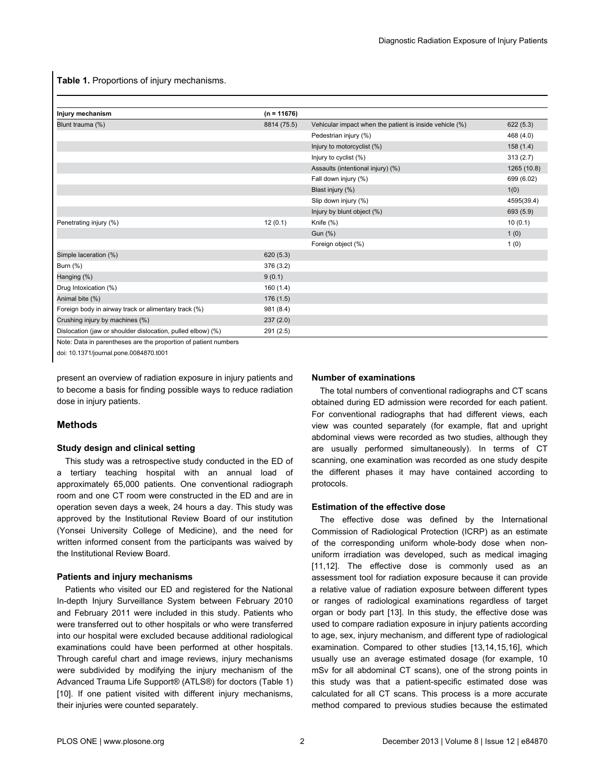<span id="page-1-0"></span>**Table 1.** Proportions of injury mechanisms.

| Injury mechanism                                            | $(n = 11676)$ |                                                         |             |
|-------------------------------------------------------------|---------------|---------------------------------------------------------|-------------|
| Blunt trauma (%)                                            | 8814 (75.5)   | Vehicular impact when the patient is inside vehicle (%) | 622(5.3)    |
|                                                             |               | Pedestrian injury (%)                                   | 468 (4.0)   |
|                                                             |               | Injury to motorcyclist (%)                              | 158(1.4)    |
|                                                             |               | Injury to cyclist (%)                                   | 313(2.7)    |
|                                                             |               | Assaults (intentional injury) (%)                       | 1265 (10.8) |
|                                                             |               | Fall down injury (%)                                    | 699 (6.02)  |
|                                                             |               | Blast injury (%)                                        | 1(0)        |
|                                                             |               | Slip down injury (%)                                    | 4595(39.4)  |
|                                                             |               | Injury by blunt object (%)                              | 693 (5.9)   |
| Penetrating injury (%)                                      | 12(0.1)       | Knife (%)                                               | 10(0.1)     |
|                                                             |               | Gun (%)                                                 | 1(0)        |
|                                                             |               | Foreign object (%)                                      | 1(0)        |
| Simple laceration (%)                                       | 620(5.3)      |                                                         |             |
| Burn (%)                                                    | 376 (3.2)     |                                                         |             |
| Hanging (%)                                                 | 9(0.1)        |                                                         |             |
| Drug Intoxication (%)                                       | 160(1.4)      |                                                         |             |
| Animal bite (%)                                             | 176(1.5)      |                                                         |             |
| Foreign body in airway track or alimentary track (%)        | 981 (8.4)     |                                                         |             |
| Crushing injury by machines (%)                             | 237(2.0)      |                                                         |             |
| Dislocation (jaw or shoulder dislocation, pulled elbow) (%) | 291 (2.5)     |                                                         |             |

Note: Data in parentheses are the proportion of patient numbers

doi: 10.1371/journal.pone.0084870.t001

present an overview of radiation exposure in injury patients and to become a basis for finding possible ways to reduce radiation dose in injury patients.

## **Methods**

#### **Study design and clinical setting**

This study was a retrospective study conducted in the ED of a tertiary teaching hospital with an annual load of approximately 65,000 patients. One conventional radiograph room and one CT room were constructed in the ED and are in operation seven days a week, 24 hours a day. This study was approved by the Institutional Review Board of our institution (Yonsei University College of Medicine), and the need for written informed consent from the participants was waived by the Institutional Review Board.

#### **Patients and injury mechanisms**

Patients who visited our ED and registered for the National In-depth Injury Surveillance System between February 2010 and February 2011 were included in this study. Patients who were transferred out to other hospitals or who were transferred into our hospital were excluded because additional radiological examinations could have been performed at other hospitals. Through careful chart and image reviews, injury mechanisms were subdivided by modifying the injury mechanism of the Advanced Trauma Life Support® (ATLS®) for doctors (Table 1) [[10](#page-6-0)]. If one patient visited with different injury mechanisms, their injuries were counted separately.

#### **Number of examinations**

The total numbers of conventional radiographs and CT scans obtained during ED admission were recorded for each patient. For conventional radiographs that had different views, each view was counted separately (for example, flat and upright abdominal views were recorded as two studies, although they are usually performed simultaneously). In terms of CT scanning, one examination was recorded as one study despite the different phases it may have contained according to protocols.

#### **Estimation of the effective dose**

The effective dose was defined by the International Commission of Radiological Protection (ICRP) as an estimate of the corresponding uniform whole-body dose when nonuniform irradiation was developed, such as medical imaging [[11](#page-6-0),[12](#page-6-0)]. The effective dose is commonly used as an assessment tool for radiation exposure because it can provide a relative value of radiation exposure between different types or ranges of radiological examinations regardless of target organ or body part [[13](#page-6-0)]. In this study, the effective dose was used to compare radiation exposure in injury patients according to age, sex, injury mechanism, and different type of radiological examination. Compared to other studies [\[13,14](#page-6-0),[15](#page-6-0),[16\]](#page-6-0), which usually use an average estimated dosage (for example, 10 mSv for all abdominal CT scans), one of the strong points in this study was that a patient-specific estimated dose was calculated for all CT scans. This process is a more accurate method compared to previous studies because the estimated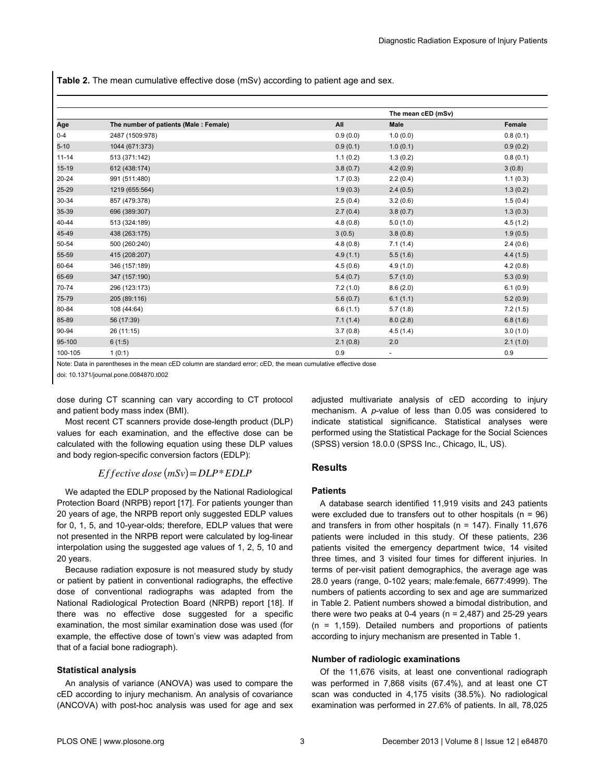<span id="page-2-0"></span>**Table 2.** The mean cumulative effective dose (mSv) according to patient age and sex.

|           |                                       |          | The mean cED (mSv)       |          |
|-----------|---------------------------------------|----------|--------------------------|----------|
| Age       | The number of patients (Male: Female) | All      | <b>Male</b>              | Female   |
| $0 - 4$   | 2487 (1509:978)                       | 0.9(0.0) | 1.0(0.0)                 | 0.8(0.1) |
| $5 - 10$  | 1044 (671:373)                        | 0.9(0.1) | 1.0(0.1)                 | 0.9(0.2) |
| $11 - 14$ | 513 (371:142)                         | 1.1(0.2) | 1.3(0.2)                 | 0.8(0.1) |
| $15 - 19$ | 612 (438:174)                         | 3.8(0.7) | 4.2(0.9)                 | 3(0.8)   |
| $20 - 24$ | 991 (511:480)                         | 1.7(0.3) | 2.2(0.4)                 | 1.1(0.3) |
| $25 - 29$ | 1219 (655:564)                        | 1.9(0.3) | 2.4(0.5)                 | 1.3(0.2) |
| 30-34     | 857 (479:378)                         | 2.5(0.4) | 3.2(0.6)                 | 1.5(0.4) |
| 35-39     | 696 (389:307)                         | 2.7(0.4) | 3.8(0.7)                 | 1.3(0.3) |
| 40-44     | 513 (324:189)                         | 4.8(0.8) | 5.0(1.0)                 | 4.5(1.2) |
| 45-49     | 438 (263:175)                         | 3(0.5)   | 3.8(0.8)                 | 1.9(0.5) |
| 50-54     | 500 (260:240)                         | 4.8(0.8) | 7.1(1.4)                 | 2.4(0.6) |
| 55-59     | 415 (208:207)                         | 4.9(1.1) | 5.5(1.6)                 | 4.4(1.5) |
| 60-64     | 346 (157:189)                         | 4.5(0.6) | 4.9(1.0)                 | 4.2(0.8) |
| 65-69     | 347 (157:190)                         | 5.4(0.7) | 5.7(1.0)                 | 5.3(0.9) |
| 70-74     | 296 (123:173)                         | 7.2(1.0) | 8.6(2.0)                 | 6.1(0.9) |
| 75-79     | 205 (89:116)                          | 5.6(0.7) | 6.1(1.1)                 | 5.2(0.9) |
| 80-84     | 108 (44:64)                           | 6.6(1.1) | 5.7(1.8)                 | 7.2(1.5) |
| 85-89     | 56 (17:39)                            | 7.1(1.4) | 8.0(2.8)                 | 6.8(1.6) |
| 90-94     | 26 (11:15)                            | 3.7(0.8) | 4.5(1.4)                 | 3.0(1.0) |
| 95-100    | 6(1:5)                                | 2.1(0.8) | 2.0                      | 2.1(1.0) |
| 100-105   | 1(0:1)                                | 0.9      | $\overline{\phantom{a}}$ | 0.9      |

Note: Data in parentheses in the mean cED column are standard error; cED, the mean cumulative effective dose

doi: 10.1371/journal.pone.0084870.t002

dose during CT scanning can vary according to CT protocol and patient body mass index (BMI).

Most recent CT scanners provide dose-length product (DLP) values for each examination, and the effective dose can be calculated with the following equation using these DLP values and body region-specific conversion factors (EDLP):

## $E$ *f*  $f$ *ective dose*  $(mSv) = DLP * E DLP$

We adapted the EDLP proposed by the National Radiological Protection Board (NRPB) report [\[17\]](#page-6-0). For patients younger than 20 years of age, the NRPB report only suggested EDLP values for 0, 1, 5, and 10-year-olds; therefore, EDLP values that were not presented in the NRPB report were calculated by log-linear interpolation using the suggested age values of 1, 2, 5, 10 and 20 years.

Because radiation exposure is not measured study by study or patient by patient in conventional radiographs, the effective dose of conventional radiographs was adapted from the National Radiological Protection Board (NRPB) report [[18](#page-6-0)]. If there was no effective dose suggested for a specific examination, the most similar examination dose was used (for example, the effective dose of town's view was adapted from that of a facial bone radiograph).

#### **Statistical analysis**

An analysis of variance (ANOVA) was used to compare the cED according to injury mechanism. An analysis of covariance (ANCOVA) with post-hoc analysis was used for age and sex

adjusted multivariate analysis of cED according to injury mechanism. A *p*-value of less than 0.05 was considered to indicate statistical significance. Statistical analyses were performed using the Statistical Package for the Social Sciences (SPSS) version 18.0.0 (SPSS Inc., Chicago, IL, US).

## **Results**

#### **Patients**

A database search identified 11,919 visits and 243 patients were excluded due to transfers out to other hospitals  $(n = 96)$ and transfers in from other hospitals (n = 147). Finally 11,676 patients were included in this study. Of these patients, 236 patients visited the emergency department twice, 14 visited three times, and 3 visited four times for different injuries. In terms of per-visit patient demographics, the average age was 28.0 years (range, 0-102 years; male:female, 6677:4999). The numbers of patients according to sex and age are summarized in Table 2. Patient numbers showed a bimodal distribution, and there were two peaks at 0-4 years ( $n = 2,487$ ) and 25-29 years (n = 1,159). Detailed numbers and proportions of patients according to injury mechanism are presented in [Table 1.](#page-1-0)

#### **Number of radiologic examinations**

Of the 11,676 visits, at least one conventional radiograph was performed in 7,868 visits (67.4%), and at least one CT scan was conducted in 4,175 visits (38.5%). No radiological examination was performed in 27.6% of patients. In all, 78,025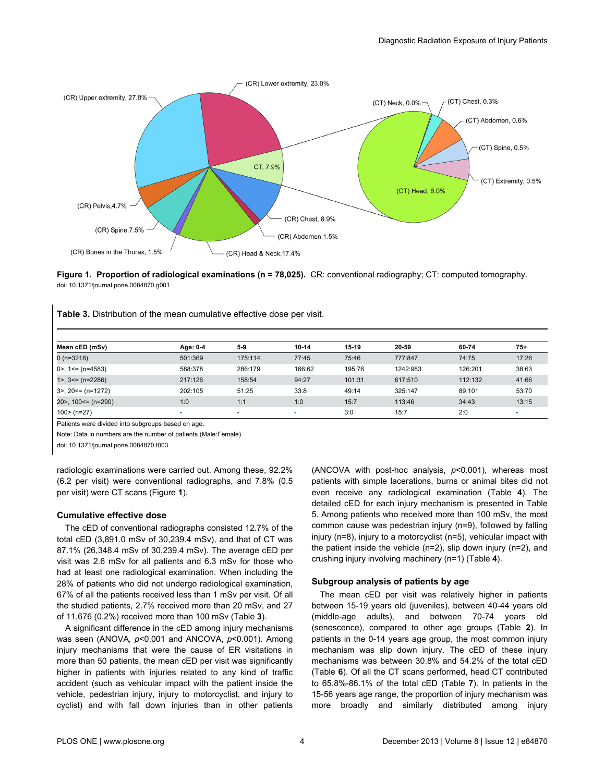

**Figure 1. Proportion of radiological examinations (n = 78,025).** CR: conventional radiography; CT: computed tomography. doi: 10.1371/journal.pone.0084870.g001

|  |  | <b>Table 3.</b> Distribution of the mean cumulative effective dose per visit. |  |  |  |  |
|--|--|-------------------------------------------------------------------------------|--|--|--|--|
|--|--|-------------------------------------------------------------------------------|--|--|--|--|

| Mean cED (mSv)          | Age: 0-4 | $5-9$                    | 10-14                    | 15-19  | 20-59    | 60-74   | $75+$ |
|-------------------------|----------|--------------------------|--------------------------|--------|----------|---------|-------|
| $0($ n=3218)            | 501:369  | 175:114                  | 77:45                    | 75:46  | 777:847  | 74:75   | 17:26 |
| $0$ >, 1 < = (n = 4583) | 588:378  | 286:179                  | 166:62                   | 195:76 | 1242:983 | 126:201 | 38:63 |
| $1 > 3 == (n=2286)$     | 217:126  | 158:54                   | 94:27                    | 101:31 | 617:510  | 112:132 | 41:66 |
| $3$ , 20 <= (n=1272)    | 202:105  | 51:25                    | 33:8                     | 49:14  | 325:147  | 89:101  | 53:70 |
| 20>, 100<= (n=290)      | 1:0      | 1:1                      | 1:0                      | 15:7   | 113:46   | 34:43   | 13:15 |
| $100$ > (n=27)          |          | $\overline{\phantom{a}}$ | $\overline{\phantom{0}}$ | 3:0    | 15:7     | 2:0     |       |

Patients were divided into subgroups based on age.

Note: Data in numbers are the number of patients (Male:Female)

doi: 10.1371/journal.pone.0084870.t003

radiologic examinations were carried out. Among these, 92.2% (6.2 per visit) were conventional radiographs, and 7.8% (0.5 per visit) were CT scans (Figure **1**).

#### **Cumulative effective dose**

The cED of conventional radiographs consisted 12.7% of the total cED (3,891.0 mSv of 30,239.4 mSv), and that of CT was 87.1% (26,348.4 mSv of 30,239.4 mSv). The average cED per visit was 2.6 mSv for all patients and 6.3 mSv for those who had at least one radiological examination. When including the 28% of patients who did not undergo radiological examination, 67% of all the patients received less than 1 mSv per visit. Of all the studied patients, 2.7% received more than 20 mSv, and 27 of 11,676 (0.2%) received more than 100 mSv (Table **3**).

A significant difference in the cED among injury mechanisms was seen (ANOVA*, p*<0.001 and ANCOVA, *p*<0.001). Among injury mechanisms that were the cause of ER visitations in more than 50 patients, the mean cED per visit was significantly higher in patients with injuries related to any kind of traffic accident (such as vehicular impact with the patient inside the vehicle, pedestrian injury, injury to motorcyclist, and injury to cyclist) and with fall down injuries than in other patients

(ANCOVA with post-hoc analysis, *p*<0.001), whereas most patients with simple lacerations, burns or animal bites did not even receive any radiological examination ([Table](#page-4-0) **4**). The detailed cED for each injury mechanism is presented in [Table](#page-4-0) [5](#page-4-0). Among patients who received more than 100 mSv, the most common cause was pedestrian injury (n=9), followed by falling injury (n=8), injury to a motorcyclist (n=5), vehicular impact with the patient inside the vehicle (n=2), slip down injury (n=2), and crushing injury involving machinery (n=1) ([Table](#page-4-0) **4**).

### **Subgroup analysis of patients by age**

The mean cED per visit was relatively higher in patients between 15-19 years old (juveniles), between 40-44 years old (middle-age adults), and between 70-74 years old (senescence), compared to other age groups [\(Table](#page-2-0) **2**). In patients in the 0-14 years age group, the most common injury mechanism was slip down injury. The cED of these injury mechanisms was between 30.8% and 54.2% of the total cED [\(Table](#page-5-0) **6**). Of all the CT scans performed, head CT contributed to 65.8%-86.1% of the total cED ([Table](#page-5-0) **7**). In patients in the 15-56 years age range, the proportion of injury mechanism was more broadly and similarly distributed among injury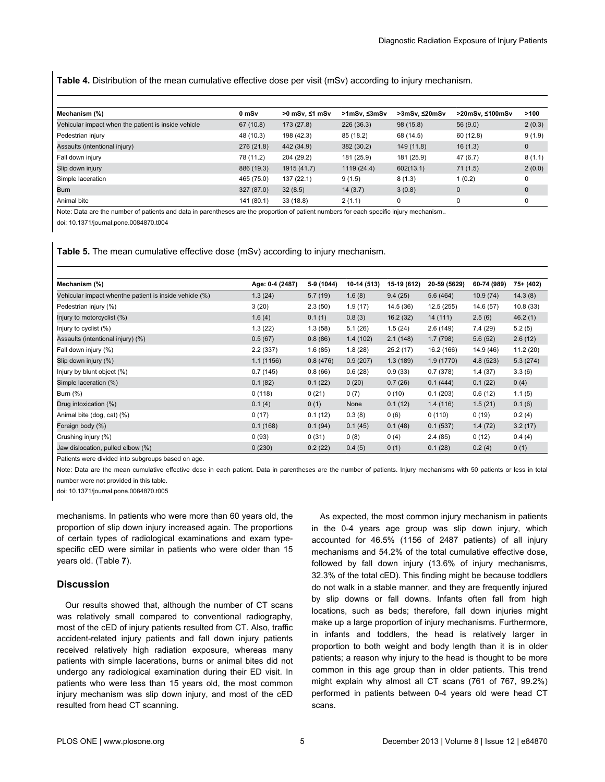<span id="page-4-0"></span>**Table 4.** Distribution of the mean cumulative effective dose per visit (mSv) according to injury mechanism.

| Mechanism (%)                                       | 0 mSv      | >0 mSv, ≤1 mSv | >1mSv. ≤3mSv | >3mSv. ≤20mSv | >20mSv. ≤100mSv | >100         |
|-----------------------------------------------------|------------|----------------|--------------|---------------|-----------------|--------------|
| Vehicular impact when the patient is inside vehicle | 67 (10.8)  | 173 (27.8)     | 226 (36.3)   | 98(15.8)      | 56(9.0)         | 2(0.3)       |
| Pedestrian injury                                   | 48 (10.3)  | 198 (42.3)     | 85 (18.2)    | 68 (14.5)     | 60(12.8)        | 9(1.9)       |
| Assaults (intentional injury)                       | 276 (21.8) | 442 (34.9)     | 382 (30.2)   | 149 (11.8)    | 16(1.3)         | 0            |
| Fall down injury                                    | 78 (11.2)  | 204 (29.2)     | 181 (25.9)   | 181 (25.9)    | 47(6.7)         | 8(1.1)       |
| Slip down injury                                    | 886 (19.3) | 1915 (41.7)    | 1119 (24.4)  | 602(13.1)     | 71(1.5)         | 2(0.0)       |
| Simple laceration                                   | 465 (75.0) | 137 (22.1)     | 9(1.5)       | 8(1.3)        | 1(0.2)          | 0            |
| <b>Burn</b>                                         | 327 (87.0) | 32(8.5)        | 14(3.7)      | 3(0.8)        | $\mathbf 0$     | $\mathbf{0}$ |
| Animal bite                                         | 141 (80.1) | 33(18.8)       | 2(1.1)       | 0             | 0               | 0            |

Note: Data are the number of patients and data in parentheses are the proportion of patient numbers for each specific injury mechanism..

doi: 10.1371/journal.pone.0084870.t004

#### **Table 5.** The mean cumulative effective dose (mSv) according to injury mechanism.

| Mechanism (%)                                           | Age: 0-4 (2487) | 5-9 (1044) | 10-14 (513) | 15-19 (612) | 20-59 (5629) | 60-74 (989) | 75+ (402) |
|---------------------------------------------------------|-----------------|------------|-------------|-------------|--------------|-------------|-----------|
| Vehicular impact when the patient is inside vehicle (%) | 1.3(24)         | 5.7(19)    | 1.6(8)      | 9.4(25)     | 5.6(464)     | 10.9(74)    | 14.3(8)   |
| Pedestrian injury (%)                                   | 3(20)           | 2.3(50)    | 1.9(17)     | 14.5 (36)   | 12.5(255)    | 14.6 (57)   | 10.8(33)  |
| Injury to motorcyclist (%)                              | 1.6(4)          | 0.1(1)     | 0.8(3)      | 16.2(32)    | 14 (111)     | 2.5(6)      | 46.2(1)   |
| Injury to cyclist $(\%)$                                | 1.3(22)         | 1.3(58)    | 5.1(26)     | 1.5(24)     | 2.6(149)     | 7.4(29)     | 5.2(5)    |
| Assaults (intentional injury) (%)                       | 0.5(67)         | 0.8(86)    | 1.4(102)    | 2.1(148)    | 1.7(798)     | 5.6(52)     | 2.6(12)   |
| Fall down injury (%)                                    | 2.2(337)        | 1.6(85)    | 1.8(28)     | 25.2(17)    | 16.2 (166)   | 14.9 (46)   | 11.2(20)  |
| Slip down injury (%)                                    | 1.1(1156)       | 0.8(476)   | 0.9(207)    | 1.3(189)    | 1.9(1770)    | 4.8(523)    | 5.3(274)  |
| Injury by blunt object (%)                              | 0.7(145)        | 0.8(66)    | 0.6(28)     | 0.9(33)     | 0.7(378)     | 1.4(37)     | 3.3(6)    |
| Simple laceration (%)                                   | 0.1(82)         | 0.1(22)    | 0(20)       | 0.7(26)     | 0.1(444)     | 0.1(22)     | 0(4)      |
| Burn (%)                                                | 0(118)          | 0(21)      | 0(7)        | 0(10)       | 0.1(203)     | 0.6(12)     | 1.1(5)    |
| Drug intoxication (%)                                   | 0.1(4)          | 0(1)       | None        | 0.1(12)     | 1.4(116)     | 1.5(21)     | 0.1(6)    |
| Animal bite (dog, cat) (%)                              | 0(17)           | 0.1(12)    | 0.3(8)      | 0(6)        | 0(110)       | 0(19)       | 0.2(4)    |
| Foreign body (%)                                        | 0.1(168)        | 0.1(94)    | 0.1(45)     | 0.1(48)     | 0.1(537)     | 1.4(72)     | 3.2(17)   |
| Crushing injury (%)                                     | 0(93)           | 0(31)      | 0(8)        | 0(4)        | 2.4(85)      | 0(12)       | 0.4(4)    |
| Jaw dislocation, pulled elbow (%)                       | 0(230)          | 0.2(22)    | 0.4(5)      | 0(1)        | 0.1(28)      | 0.2(4)      | 0(1)      |

Patients were divided into subgroups based on age.

Note: Data are the mean cumulative effective dose in each patient. Data in parentheses are the number of patients. Injury mechanisms with 50 patients or less in total number were not provided in this table.

doi: 10.1371/journal.pone.0084870.t005

mechanisms. In patients who were more than 60 years old, the proportion of slip down injury increased again. The proportions of certain types of radiological examinations and exam typespecific cED were similar in patients who were older than 15 years old. ([Table](#page-5-0) **7**).

### **Discussion**

Our results showed that, although the number of CT scans was relatively small compared to conventional radiography, most of the cED of injury patients resulted from CT. Also, traffic accident-related injury patients and fall down injury patients received relatively high radiation exposure, whereas many patients with simple lacerations, burns or animal bites did not undergo any radiological examination during their ED visit. In patients who were less than 15 years old, the most common injury mechanism was slip down injury, and most of the cED resulted from head CT scanning.

As expected, the most common injury mechanism in patients in the 0-4 years age group was slip down injury, which accounted for 46.5% (1156 of 2487 patients) of all injury mechanisms and 54.2% of the total cumulative effective dose, followed by fall down injury (13.6% of injury mechanisms, 32.3% of the total cED). This finding might be because toddlers do not walk in a stable manner, and they are frequently injured by slip downs or fall downs. Infants often fall from high locations, such as beds; therefore, fall down injuries might make up a large proportion of injury mechanisms. Furthermore, in infants and toddlers, the head is relatively larger in proportion to both weight and body length than it is in older patients; a reason why injury to the head is thought to be more common in this age group than in older patients. This trend might explain why almost all CT scans (761 of 767, 99.2%) performed in patients between 0-4 years old were head CT scans.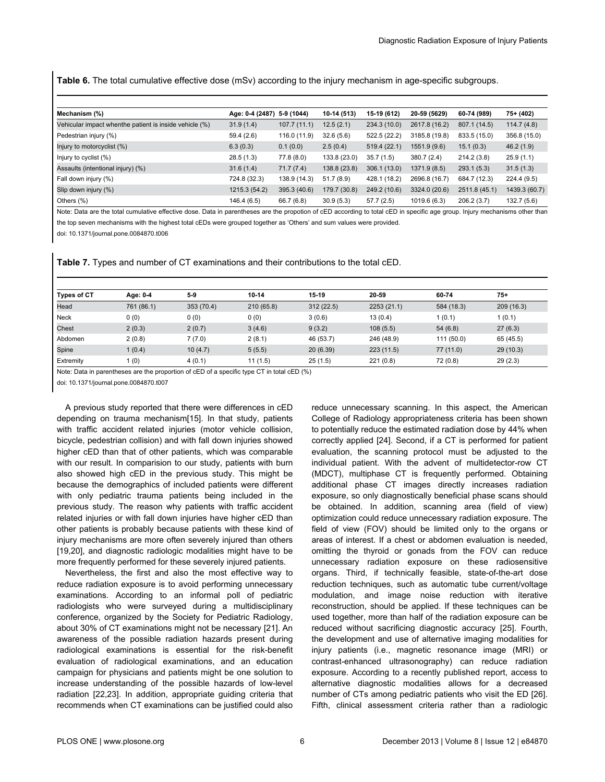<span id="page-5-0"></span>**Table 6.** The total cumulative effective dose (mSv) according to the injury mechanism in age-specific subgroups.

| Mechanism (%)                                          | Age: 0-4 (2487) | 5-9 (1044)   | 10-14 (513)  | 15-19 (612)  | 20-59 (5629)  | 60-74 (989)   | 75+ (402)     |
|--------------------------------------------------------|-----------------|--------------|--------------|--------------|---------------|---------------|---------------|
| Vehicular impact whenthe patient is inside vehicle (%) | 31.9(1.4)       | 107.7(11.1)  | 12.5(2.1)    | 234.3 (10.0) | 2617.8 (16.2) | 807.1 (14.5)  | 114.7(4.8)    |
| Pedestrian injury (%)                                  | 59.4 (2.6)      | 116.0 (11.9) | 32.6(5.6)    | 522.5 (22.2) | 3185.8 (19.8) | 833.5 (15.0)  | 356.8 (15.0)  |
| Injury to motorcyclist (%)                             | 6.3(0.3)        | 0.1(0.0)     | 2.5(0.4)     | 519.4 (22.1) | 1551.9 (9.6)  | 15.1(0.3)     | 46.2(1.9)     |
| Injury to cyclist $(\%)$                               | 28.5(1.3)       | 77.8 (8.0)   | 133.8 (23.0) | 35.7(1.5)    | 380.7(2.4)    | 214.2 (3.8)   | 25.9(1.1)     |
| Assaults (intentional injury) (%)                      | 31.6(1.4)       | 71.7(7.4)    | 138.8 (23.8) | 306.1 (13.0) | 1371.9 (8.5)  | 293.1(5.3)    | 31.5(1.3)     |
| Fall down injury (%)                                   | 724.8 (32.3)    | 138.9 (14.3) | 51.7(8.9)    | 428.1 (18.2) | 2696.8 (16.7) | 684.7 (12.3)  | 224.4(9.5)    |
| Slip down injury (%)                                   | 1215.3 (54.2)   | 395.3 (40.6) | 179.7 (30.8) | 249.2 (10.6) | 3324.0 (20.6) | 2511.8 (45.1) | 1439.3 (60.7) |
| Others $(\%)$                                          | 146.4 (6.5)     | 66.7 (6.8)   | 30.9(5.3)    | 57.7(2.5)    | 1019.6 (6.3)  | 206.2 (3.7)   | 132.7 (5.6)   |

Note: Data are the total cumulative effective dose. Data in parentheses are the propotion of cED according to total cED in specific age group. Injury mechanisms other than the top seven mechanisms with the highest total cEDs were grouped together as 'Others' and sum values were provided.

doi: 10.1371/journal.pone.0084870.t006

**Table 7.** Types and number of CT examinations and their contributions to the total cED.

| <b>Types of CT</b> | Age: 0-4   | $5-9$      | $10 - 14$ | 15-19     | 20-59      | 60-74      | $75+$     |
|--------------------|------------|------------|-----------|-----------|------------|------------|-----------|
| Head               | 761 (86.1) | 353 (70.4) | 210(65.8) | 312(22.5) | 2253(21.1) | 584 (18.3) | 209(16.3) |
| Neck               | 0(0)       | 0(0)       | 0(0)      | 3(0.6)    | 13(0.4)    | 1(0.1)     | 1(0.1)    |
| Chest              | 2(0.3)     | 2(0.7)     | 3(4.6)    | 9(3.2)    | 108(5.5)   | 54(6.8)    | 27(6.3)   |
| Abdomen            | 2(0.8)     | 7(7.0)     | 2(8.1)    | 46 (53.7) | 246 (48.9) | 111 (50.0) | 65 (45.5) |
| Spine              | 1(0.4)     | 10(4.7)    | 5(5.5)    | 20(6.39)  | 223(11.5)  | 77 (11.0)  | 29(10.3)  |
| Extremity          | 1(0)       | 4(0.1)     | 11(1.5)   | 25(1.5)   | 221(0.8)   | 72 (0.8)   | 29(2.3)   |

Note: Data in parentheses are the proportion of cED of a specific type CT in total cED (%)

doi: 10.1371/journal.pone.0084870.t007

A previous study reported that there were differences in cED depending on trauma mechanism[[15](#page-6-0)]. In that study, patients with traffic accident related injuries (motor vehicle collision, bicycle, pedestrian collision) and with fall down injuries showed higher cED than that of other patients, which was comparable with our result. In comparision to our study, patients with burn also showed high cED in the previous study. This might be because the demographics of included patients were different with only pediatric trauma patients being included in the previous study. The reason why patients with traffic accident related injuries or with fall down injuries have higher cED than other patients is probably because patients with these kind of injury mechanisms are more often severely injured than others [[19](#page-6-0),[20](#page-6-0)], and diagnostic radiologic modalities might have to be more frequently performed for these severely injured patients.

Nevertheless, the first and also the most effective way to reduce radiation exposure is to avoid performing unnecessary examinations. According to an informal poll of pediatric radiologists who were surveyed during a multidisciplinary conference, organized by the Society for Pediatric Radiology, about 30% of CT examinations might not be necessary [\[21\]](#page-6-0). An awareness of the possible radiation hazards present during radiological examinations is essential for the risk-benefit evaluation of radiological examinations, and an education campaign for physicians and patients might be one solution to increase understanding of the possible hazards of low-level radiation [[22,23\]](#page-6-0). In addition, appropriate guiding criteria that recommends when CT examinations can be justified could also

reduce unnecessary scanning. In this aspect, the American College of Radiology appropriateness criteria has been shown to potentially reduce the estimated radiation dose by 44% when correctly applied [[24](#page-7-0)]. Second, if a CT is performed for patient evaluation, the scanning protocol must be adjusted to the individual patient. With the advent of multidetector-row CT (MDCT), multiphase CT is frequently performed. Obtaining additional phase CT images directly increases radiation exposure, so only diagnostically beneficial phase scans should be obtained. In addition, scanning area (field of view) optimization could reduce unnecessary radiation exposure. The field of view (FOV) should be limited only to the organs or areas of interest. If a chest or abdomen evaluation is needed, omitting the thyroid or gonads from the FOV can reduce unnecessary radiation exposure on these radiosensitive organs. Third, if technically feasible, state-of-the-art dose reduction techniques, such as automatic tube current/voltage modulation, and image noise reduction with iterative reconstruction, should be applied. If these techniques can be used together, more than half of the radiation exposure can be reduced without sacrificing diagnostic accuracy [[25](#page-7-0)]. Fourth, the development and use of alternative imaging modalities for injury patients (i.e., magnetic resonance image (MRI) or contrast-enhanced ultrasonography) can reduce radiation exposure. According to a recently published report, access to alternative diagnostic modalities allows for a decreased number of CTs among pediatric patients who visit the ED [\[26\]](#page-7-0). Fifth, clinical assessment criteria rather than a radiologic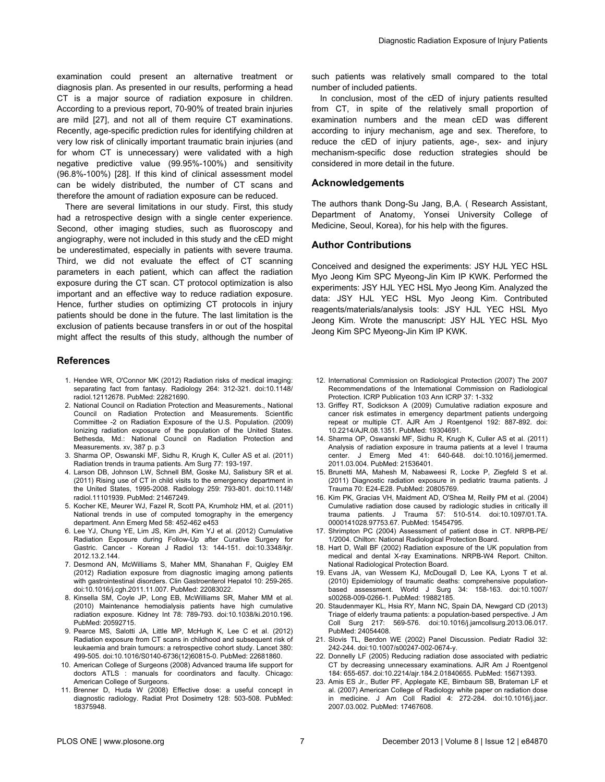<span id="page-6-0"></span>examination could present an alternative treatment or diagnosis plan. As presented in our results, performing a head CT is a major source of radiation exposure in children. According to a previous report, 70-90% of treated brain injuries are mild [[27](#page-7-0)], and not all of them require CT examinations. Recently, age-specific prediction rules for identifying children at very low risk of clinically important traumatic brain injuries (and for whom CT is unnecessary) were validated with a high negative predictive value (99.95%-100%) and sensitivity (96.8%-100%) [\[28\]](#page-7-0). If this kind of clinical assessment model can be widely distributed, the number of CT scans and therefore the amount of radiation exposure can be reduced.

There are several limitations in our study. First, this study had a retrospective design with a single center experience. Second, other imaging studies, such as fluoroscopy and angiography, were not included in this study and the cED might be underestimated, especially in patients with severe trauma. Third, we did not evaluate the effect of CT scanning parameters in each patient, which can affect the radiation exposure during the CT scan. CT protocol optimization is also important and an effective way to reduce radiation exposure. Hence, further studies on optimizing CT protocols in injury patients should be done in the future. The last limitation is the exclusion of patients because transfers in or out of the hospital might affect the results of this study, although the number of

#### **References**

- 1. Hendee WR, O'Connor MK (2012) Radiation risks of medical imaging: separating fact from fantasy. Radiology 264: 312-321. doi[:10.1148/](http://dx.doi.org/10.1148/radiol.12112678) [radiol.12112678.](http://dx.doi.org/10.1148/radiol.12112678) PubMed: [22821690.](http://www.ncbi.nlm.nih.gov/pubmed/22821690)
- 2. National Council on Radiation Protection and Measurements., National Council on Radiation Protection and Measurements. Scientific Committee -2 on Radiation Exposure of the U.S. Population. (2009) Ionizing radiation exposure of the population of the United States. Bethesda, Md.: National Council on Radiation Protection and Measurements. xv, 387 p. p.3
- 3. Sharma OP, Oswanski MF, Sidhu R, Krugh K, Culler AS et al. (2011) Radiation trends in trauma patients. Am Surg 77: 193-197.
- 4. Larson DB, Johnson LW, Schnell BM, Goske MJ, Salisbury SR et al. (2011) Rising use of CT in child visits to the emergency department in the United States, 1995-2008. Radiology 259: 793-801. doi[:10.1148/](http://dx.doi.org/10.1148/radiol.11101939) [radiol.11101939.](http://dx.doi.org/10.1148/radiol.11101939) PubMed: [21467249.](http://www.ncbi.nlm.nih.gov/pubmed/21467249)
- 5. Kocher KE, Meurer WJ, Fazel R, Scott PA, Krumholz HM, et al. (2011) National trends in use of computed tomography in the emergency department. Ann Emerg Med 58: 452-462 e453
- 6. Lee YJ, Chung YE, Lim JS, Kim JH, Kim YJ et al. (2012) Cumulative Radiation Exposure during Follow-Up after Curative Surgery for Gastric. Cancer - Korean J Radiol 13: 144-151. doi:[10.3348/kjr.](http://dx.doi.org/10.3348/kjr.2012.13.2.144) [2012.13.2.144](http://dx.doi.org/10.3348/kjr.2012.13.2.144).
- 7. Desmond AN, McWilliams S, Maher MM, Shanahan F, Quigley EM (2012) Radiation exposure from diagnostic imaging among patients with gastrointestinal disorders. Clin Gastroenterol Hepatol 10: 259-265. doi:[10.1016/j.cgh.2011.11.007.](http://dx.doi.org/10.1016/j.cgh.2011.11.007) PubMed: [22083022.](http://www.ncbi.nlm.nih.gov/pubmed/22083022)
- 8. Kinsella SM, Coyle JP, Long EB, McWilliams SR, Maher MM et al. (2010) Maintenance hemodialysis patients have high cumulative radiation exposure. Kidney Int 78: 789-793. doi[:10.1038/ki.2010.196.](http://dx.doi.org/10.1038/ki.2010.196) PubMed: [20592715.](http://www.ncbi.nlm.nih.gov/pubmed/20592715)
- 9. Pearce MS, Salotti JA, Little MP, McHugh K, Lee C et al. (2012) Radiation exposure from CT scans in childhood and subsequent risk of leukaemia and brain tumours: a retrospective cohort study. Lancet 380: 499-505. doi[:10.1016/S0140-6736\(12\)60815-0.](http://dx.doi.org/10.1016/S0140-6736(12)60815-0) PubMed: [22681860.](http://www.ncbi.nlm.nih.gov/pubmed/22681860)
- 10. American College of Surgeons (2008) Advanced trauma life support for doctors ATLS : manuals for coordinators and faculty. Chicago: American College of Surgeons.
- 11. Brenner D, Huda W (2008) Effective dose: a useful concept in diagnostic radiology. Radiat Prot Dosimetry 128: 503-508. PubMed: [18375948.](http://www.ncbi.nlm.nih.gov/pubmed/18375948)

such patients was relatively small compared to the total number of included patients.

In conclusion, most of the cED of injury patients resulted from CT, in spite of the relatively small proportion of examination numbers and the mean cED was different according to injury mechanism, age and sex. Therefore, to reduce the cED of injury patients, age-, sex- and injury mechanism-specific dose reduction strategies should be considered in more detail in the future.

#### **Acknowledgements**

The authors thank Dong-Su Jang, B,A. ( Research Assistant, Department of Anatomy, Yonsei University College of Medicine, Seoul, Korea), for his help with the figures.

#### **Author Contributions**

Conceived and designed the experiments: JSY HJL YEC HSL Myo Jeong Kim SPC Myeong-Jin Kim IP KWK. Performed the experiments: JSY HJL YEC HSL Myo Jeong Kim. Analyzed the data: JSY HJL YEC HSL Myo Jeong Kim. Contributed reagents/materials/analysis tools: JSY HJL YEC HSL Myo Jeong Kim. Wrote the manuscript: JSY HJL YEC HSL Myo Jeong Kim SPC Myeong-Jin Kim IP KWK.

- 12. International Commission on Radiological Protection (2007) The 2007 Recommendations of the International Commission on Radiological Protection. ICRP Publication 103 Ann ICRP 37: 1-332
- 13. Griffey RT, Sodickson A (2009) Cumulative radiation exposure and cancer risk estimates in emergency department patients undergoing repeat or multiple CT. AJR Am J Roentgenol 192: 887-892. doi: [10.2214/AJR.08.1351](http://dx.doi.org/10.2214/AJR.08.1351). PubMed: [19304691](http://www.ncbi.nlm.nih.gov/pubmed/19304691).
- 14. Sharma OP, Oswanski MF, Sidhu R, Krugh K, Culler AS et al. (2011) Analysis of radiation exposure in trauma patients at a level I trauma center. J Emerg Med 41: 640-648. doi:[10.1016/j.jemermed.](http://dx.doi.org/10.1016/j.jemermed.2011.03.004) [2011.03.004](http://dx.doi.org/10.1016/j.jemermed.2011.03.004). PubMed: [21536401](http://www.ncbi.nlm.nih.gov/pubmed/21536401).
- 15. Brunetti MA, Mahesh M, Nabaweesi R, Locke P, Ziegfeld S et al. (2011) Diagnostic radiation exposure in pediatric trauma patients. J Trauma 70: E24-E28. PubMed: [20805769](http://www.ncbi.nlm.nih.gov/pubmed/20805769).
- 16. Kim PK, Gracias VH, Maidment AD, O'Shea M, Reilly PM et al. (2004) Cumulative radiation dose caused by radiologic studies in critically ill trauma patients. J Trauma 57: 510-514. doi:[10.1097/01.TA.](http://dx.doi.org/10.1097/01.TA.0000141028.97753.67) [0000141028.97753.67.](http://dx.doi.org/10.1097/01.TA.0000141028.97753.67) PubMed: [15454795.](http://www.ncbi.nlm.nih.gov/pubmed/15454795)
- 17. Shrimpton PC (2004) Assessment of patient dose in CT. NRPB-PE/ 1/2004. Chilton: National Radiological Protection Board.
- 18. Hart D, Wall BF (2002) Radiation exposure of the UK population from medical and dental X-ray Examinations. NRPB-W4 Report. Chilton. National Radiological Protection Board.
- 19. Evans JA, van Wessem KJ, McDougall D, Lee KA, Lyons T et al. (2010) Epidemiology of traumatic deaths: comprehensive populationbased assessment. World J Surg 34: 158-163. doi[:10.1007/](http://dx.doi.org/10.1007/s00268-009-0266-1) [s00268-009-0266-1.](http://dx.doi.org/10.1007/s00268-009-0266-1) PubMed: [19882185.](http://www.ncbi.nlm.nih.gov/pubmed/19882185)
- 20. Staudenmayer KL, Hsia RY, Mann NC, Spain DA, Newgard CD (2013) Triage of elderly trauma patients: a population-based perspective. J Am Coll Surg 217: 569-576. doi[:10.1016/j.jamcollsurg.2013.06.017](http://dx.doi.org/10.1016/j.jamcollsurg.2013.06.017). PubMed: [24054408.](http://www.ncbi.nlm.nih.gov/pubmed/24054408)
- 21. Slovis TL, Berdon WE (2002) Panel Discussion. Pediatr Radiol 32: 242-244. doi[:10.1007/s00247-002-0674-y](http://dx.doi.org/10.1007/s00247-002-0674-y).
- 22. Donnelly LF (2005) Reducing radiation dose associated with pediatric CT by decreasing unnecessary examinations. AJR Am J Roentgenol 184: 655-657. doi:[10.2214/ajr.184.2.01840655.](http://dx.doi.org/10.2214/ajr.184.2.01840655) PubMed: [15671393.](http://www.ncbi.nlm.nih.gov/pubmed/15671393)
- 23. Amis ES Jr., Butler PF, Applegate KE, Birnbaum SB, Brateman LF et al. (2007) American College of Radiology white paper on radiation dose in medicine. J Am Coll Radiol 4: 272-284. doi[:10.1016/j.jacr.](http://dx.doi.org/10.1016/j.jacr.2007.03.002) [2007.03.002](http://dx.doi.org/10.1016/j.jacr.2007.03.002). PubMed: [17467608](http://www.ncbi.nlm.nih.gov/pubmed/17467608).